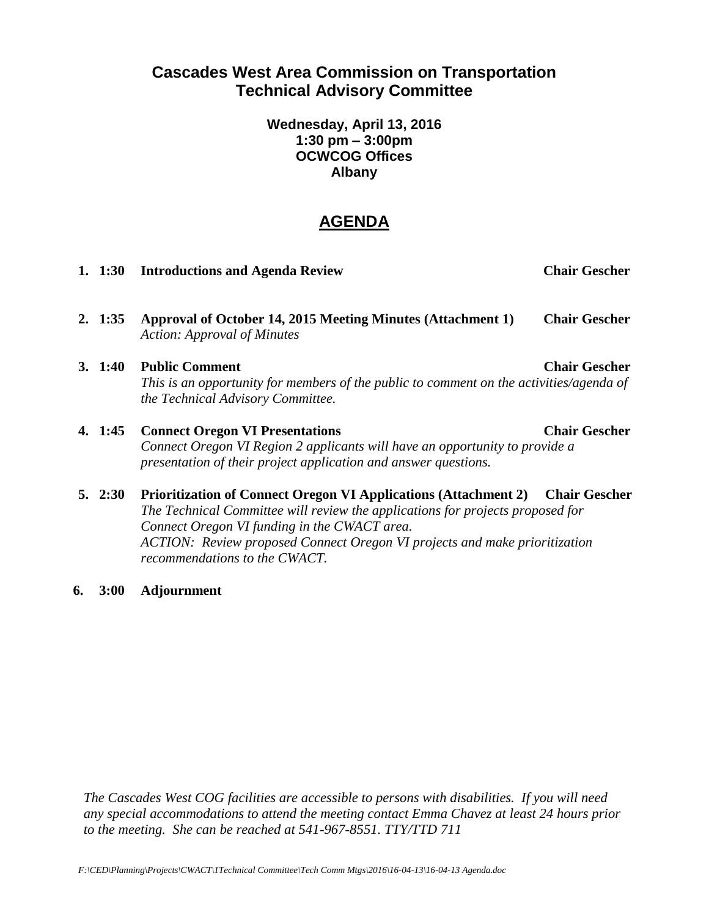# **Cascades West Area Commission on Transportation Technical Advisory Committee**

**Wednesday, April 13, 2016 1:30 pm – 3:00pm OCWCOG Offices Albany**

# **AGENDA**

|             | 1. 1:30 Introductions and Agenda Review                                                                                                                                                  | <b>Chair Gescher</b> |
|-------------|------------------------------------------------------------------------------------------------------------------------------------------------------------------------------------------|----------------------|
| 2.1:35      | Approval of October 14, 2015 Meeting Minutes (Attachment 1)<br><b>Action: Approval of Minutes</b>                                                                                        | <b>Chair Gescher</b> |
| 3.1:40      | <b>Public Comment</b><br>This is an opportunity for members of the public to comment on the activities/agenda of<br>the Technical Advisory Committee.                                    | <b>Chair Gescher</b> |
| 4. 1:45     | <b>Connect Oregon VI Presentations</b><br>Connect Oregon VI Region 2 applicants will have an opportunity to provide a<br>presentation of their project application and answer questions. | <b>Chair Gescher</b> |
| $5. \t2:30$ | <b>Prioritization of Connect Oregon VI Applications (Attachment 2)</b><br>The Technical Committee will review the applications for projects proposed for                                 | <b>Chair Gescher</b> |

*Connect Oregon VI funding in the CWACT area. ACTION: Review proposed Connect Oregon VI projects and make prioritization recommendations to the CWACT.* 

**6. 3:00 Adjournment** 

*The Cascades West COG facilities are accessible to persons with disabilities. If you will need any special accommodations to attend the meeting contact Emma Chavez at least 24 hours prior to the meeting. She can be reached at 541-967-8551. TTY/TTD 711*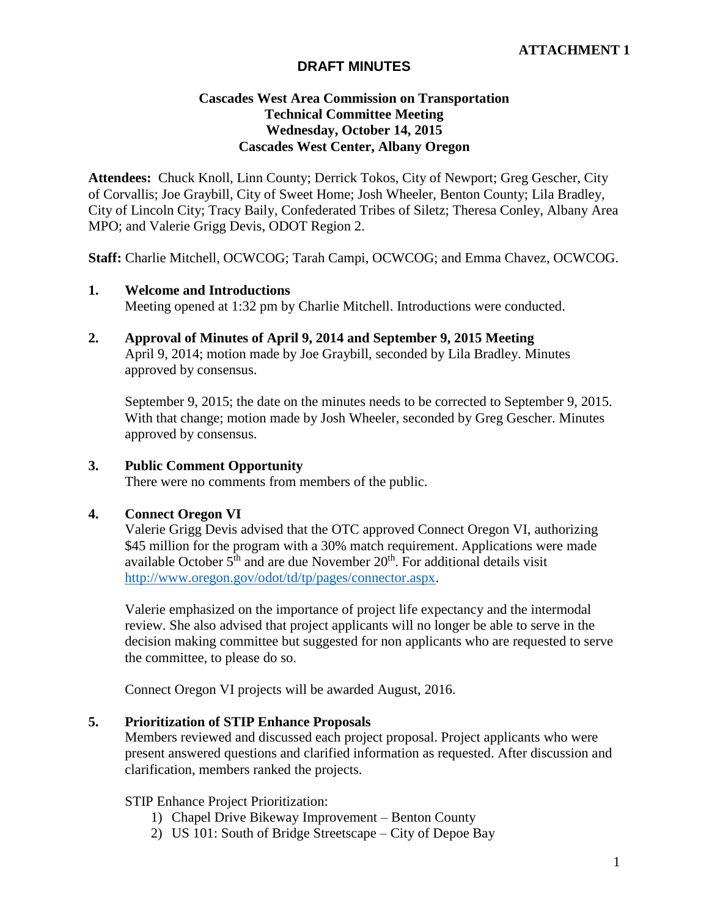## **DRAFT MINUTES**

## **Cascades West Area Commission on Transportation Technical Committee Meeting Wednesday, October 14, 2015 Cascades West Center, Albany Oregon**

**Attendees:** Chuck Knoll, Linn County; Derrick Tokos, City of Newport; Greg Gescher, City of Corvallis; Joe Graybill, City of Sweet Home; Josh Wheeler, Benton County; Lila Bradley, City of Lincoln City; Tracy Baily, Confederated Tribes of Siletz; Theresa Conley, Albany Area MPO; and Valerie Grigg Devis, ODOT Region 2.

**Staff:** Charlie Mitchell, OCWCOG; Tarah Campi, OCWCOG; and Emma Chavez, OCWCOG.

#### **1. Welcome and Introductions**

Meeting opened at 1:32 pm by Charlie Mitchell. Introductions were conducted.

**2. Approval of Minutes of April 9, 2014 and September 9, 2015 Meeting** April 9, 2014; motion made by Joe Graybill, seconded by Lila Bradley. Minutes approved by consensus.

September 9, 2015; the date on the minutes needs to be corrected to September 9, 2015. With that change; motion made by Josh Wheeler, seconded by Greg Gescher. Minutes approved by consensus.

#### **3. Public Comment Opportunity**

There were no comments from members of the public.

#### **4. Connect Oregon VI**

Valerie Grigg Devis advised that the OTC approved Connect Oregon VI, authorizing \$45 million for the program with a 30% match requirement. Applications were made available October  $5<sup>th</sup>$  and are due November  $20<sup>th</sup>$ . For additional details visit [http://www.oregon.gov/odot/td/tp/pages/connector.aspx.](http://www.oregon.gov/odot/td/tp/pages/connector.aspx)

Valerie emphasized on the importance of project life expectancy and the intermodal review. She also advised that project applicants will no longer be able to serve in the decision making committee but suggested for non applicants who are requested to serve the committee, to please do so.

Connect Oregon VI projects will be awarded August, 2016.

#### **5. Prioritization of STIP Enhance Proposals**

Members reviewed and discussed each project proposal. Project applicants who were present answered questions and clarified information as requested. After discussion and clarification, members ranked the projects.

#### STIP Enhance Project Prioritization:

- 1) Chapel Drive Bikeway Improvement Benton County
- 2) US 101: South of Bridge Streetscape City of Depoe Bay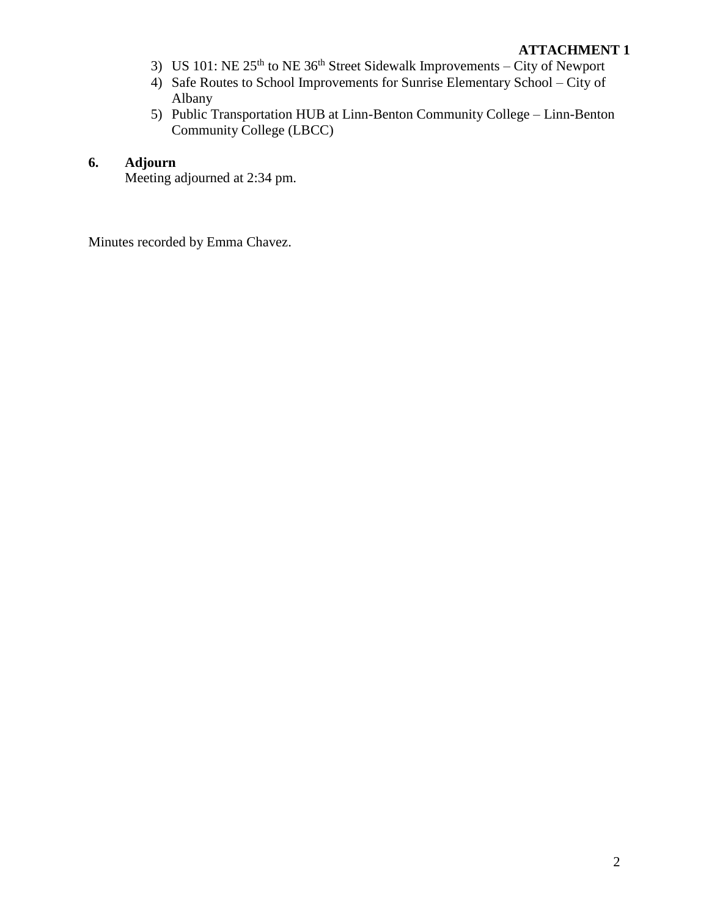## **ATTACHMENT 1**

- 3) US 101: NE  $25<sup>th</sup>$  to NE 36<sup>th</sup> Street Sidewalk Improvements City of Newport
- 4) Safe Routes to School Improvements for Sunrise Elementary School City of Albany
- 5) Public Transportation HUB at Linn-Benton Community College Linn-Benton Community College (LBCC)

## **6. Adjourn**

Meeting adjourned at 2:34 pm.

Minutes recorded by Emma Chavez.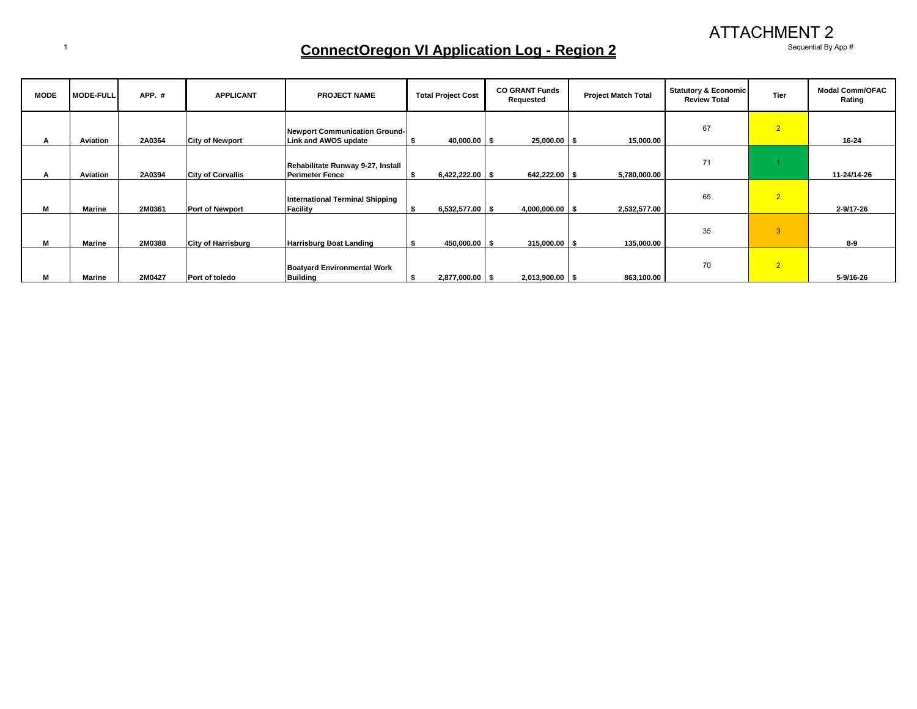ATTACHMENT 2

35 3

70 2

**8-9**

**5-9/16-26**

## 1 **ConnectOregon VI Application Log - Region 2** Sequential By App #

**M Marine 2M0388 City of Harrisburg Harrisburg Boat Landing \$ 450,000.00 \$ 315,000.00 \$ 135,000.00**

**Boatyard Environmental Work** 

**MODE MODE-FULL APP. # APPLICANT PROJECT NAME Total Project Cost CO GRANT Funds Requested Project Match Total Statutory & Economic Review Total Tier Modal Comm/OFAC Rating A Aviation 2A0364 City of Newport Newport Communication Ground-Link and AWOS update \$ 40,000.00 \$ 25,000.00 \$ 15,000.00** 67 2 **16-24 A Aviation 2A0394 City of Corvallis Rehabilitate Runway 9-27, Install Perimeter Fence \$ 6,422,222.00 \$ 642,222.00 \$ 5,780,000.00** 71 1 **11-24/14-26 M Marine 2M0361 Port of Newport International Terminal Shipping Facility \$ 6,532,577.00 \$ 4,000,000.00 \$ 2,532,577.00** 65 2 **2-9/17-26**

**M Marine 2M0427 Port of toledo**

**Building \$ 2,877,000.00 \$ 2,013,900.00 \$ 863,100.00**